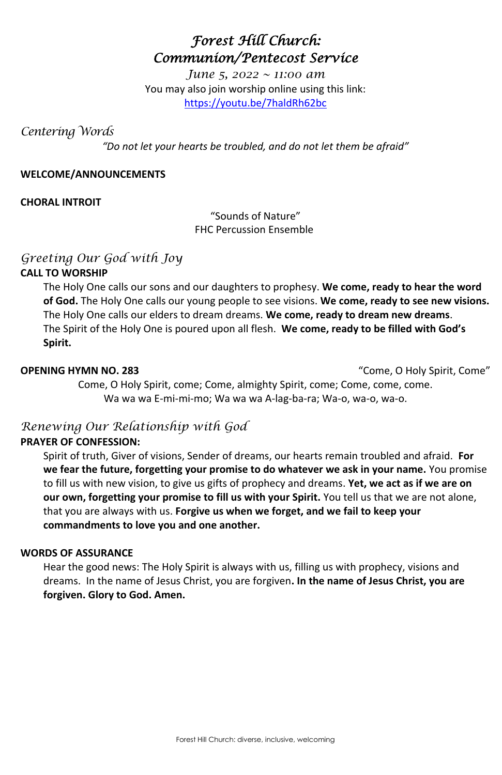Forest Hill Church: diverse, inclusive, welcoming

# *Forest Hill Church: Communion/Pentecost Service*

*June 5, 2022 ~ 11:00 am* You may also join worship online using this link: <https://youtu.be/7haldRh62bc>

*Centering Words* 

*"Do not let your hearts be troubled, and do not let them be afraid"*

## **WELCOME/ANNOUNCEMENTS**

## **CHORAL INTROIT**

"Sounds of Nature" FHC Percussion Ensemble

## *Greeting Our God with Joy*

### **CALL TO WORSHIP**

The Holy One calls our sons and our daughters to prophesy. **We come, ready to hear the word of God.** The Holy One calls our young people to see visions. **We come, ready to see new visions.**  The Holy One calls our elders to dream dreams. **We come, ready to dream new dreams**. The Spirit of the Holy One is poured upon all flesh. **We come, ready to be filled with God's Spirit.** 

**OPENING HYMN NO. 283** "Come, O Holy Spirit, Come"

Come, O Holy Spirit, come; Come, almighty Spirit, come; Come, come, come. Wa wa wa E-mi-mi-mo; Wa wa wa A-lag-ba-ra; Wa-o, wa-o, wa-o.

## *Renewing Our Relationship with God*

## **PRAYER OF CONFESSION:**

Spirit of truth, Giver of visions, Sender of dreams, our hearts remain troubled and afraid. **For we fear the future, forgetting your promise to do whatever we ask in your name.** You promise to fill us with new vision, to give us gifts of prophecy and dreams. **Yet, we act as if we are on our own, forgetting your promise to fill us with your Spirit.** You tell us that we are not alone, that you are always with us. **Forgive us when we forget, and we fail to keep your commandments to love you and one another.** 

### **WORDS OF ASSURANCE**

Hear the good news: The Holy Spirit is always with us, filling us with prophecy, visions and

dreams. In the name of Jesus Christ, you are forgiven**. In the name of Jesus Christ, you are forgiven. Glory to God. Amen.**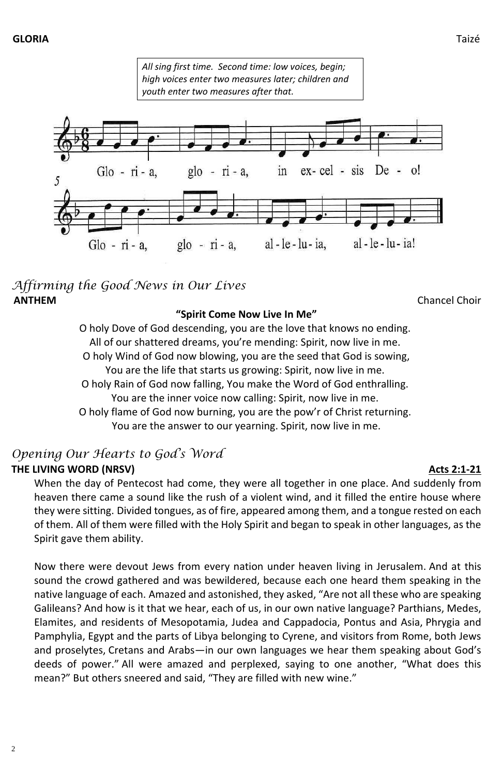# *Affirming the Good News in Our Lives* **ANTHEM** Chancel Choir

## **"Spirit Come Now Live In Me"**

# *Opening Our Hearts to God's Word* **THE LIVING WORD (NRSV)** Acts 2:1-21

O holy Dove of God descending, you are the love that knows no ending. All of our shattered dreams, you're mending: Spirit, now live in me. O holy Wind of God now blowing, you are the seed that God is sowing, You are the life that starts us growing: Spirit, now live in me. O holy Rain of God now falling, You make the Word of God enthralling. You are the inner voice now calling: Spirit, now live in me. O holy flame of God now burning, you are the pow'r of Christ returning. You are the answer to our yearning. Spirit, now live in me.

## When the day of Pentecost had come, they were all together in one place. And suddenly from heaven there came a sound like the rush of a violent wind, and it filled the entire house where they were sitting. Divided tongues, as of fire, appeared among them, and a tongue rested on each of them. All of them were filled with the Holy Spirit and began to speak in other languages, as the Spirit gave them ability.

Now there were devout Jews from every nation under heaven living in Jerusalem. And at this

sound the crowd gathered and was bewildered, because each one heard them speaking in the native language of each. Amazed and astonished, they asked, "Are not all these who are speaking Galileans? And how is it that we hear, each of us, in our own native language? Parthians, Medes, Elamites, and residents of Mesopotamia, Judea and Cappadocia, Pontus and Asia, Phrygia and Pamphylia, Egypt and the parts of Libya belonging to Cyrene, and visitors from Rome, both Jews and proselytes, Cretans and Arabs—in our own languages we hear them speaking about God's deeds of power." All were amazed and perplexed, saying to one another, "What does this mean?" But others sneered and said, "They are filled with new wine."

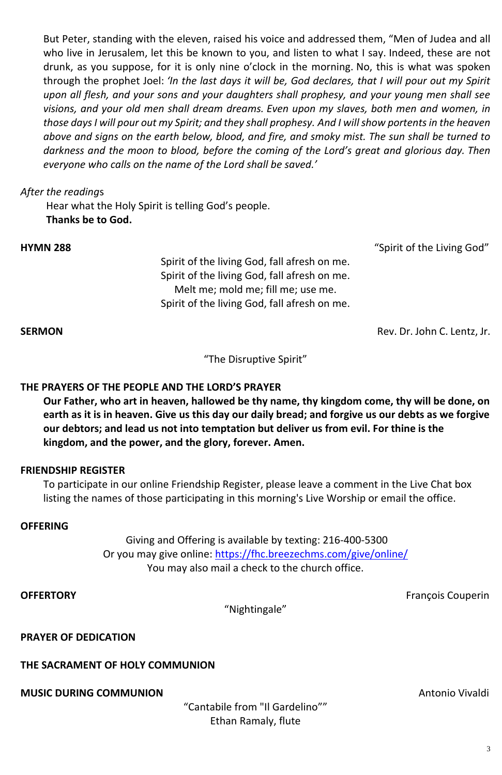But Peter, standing with the eleven, raised his voice and addressed them, "Men of Judea and all who live in Jerusalem, let this be known to you, and listen to what I say. Indeed, these are not drunk, as you suppose, for it is only nine o'clock in the morning. No, this is what was spoken through the prophet Joel: *'In the last days it will be, God declares, that I will pour out my Spirit upon all flesh, and your sons and your daughters shall prophesy, and your young men shall see visions, and your old men shall dream dreams. Even upon my slaves, both men and women, in those days I will pour out my Spirit; and they shall prophesy. And I will show portents in the heaven above and signs on the earth below, blood, and fire, and smoky mist. The sun shall be turned to darkness and the moon to blood, before the coming of the Lord's great and glorious day. Then everyone who calls on the name of the Lord shall be saved.'*

### *After the reading*s

Hear what the Holy Spirit is telling God's people. **Thanks be to God.**

**HYMN 288 CONSERVING THE CONSERVING OF THE CONSERVING TO A SET OF THE CONSERVING SOCI**  $\blacksquare$  Spirit of the Living God"

Spirit of the living God, fall afresh on me. Spirit of the living God, fall afresh on me. Melt me; mold me; fill me; use me. Spirit of the living God, fall afresh on me.

**SERMON Rev. Dr. John C. Lentz, Jr. Rev. Dr. John C. Lentz, Jr.** 

"The Disruptive Spirit"

## **THE PRAYERS OF THE PEOPLE AND THE LORD'S PRAYER**

**Our Father, who art in heaven, hallowed be thy name, thy kingdom come, thy will be done, on earth as it is in heaven. Give us this day our daily bread; and forgive us our debts as we forgive our debtors; and lead us not into temptation but deliver us from evil. For thine is the kingdom, and the power, and the glory, forever. Amen.**

## **FRIENDSHIP REGISTER**

To participate in our online Friendship Register, please leave a comment in the Live Chat box listing the names of those participating in this morning's Live Worship or email the office.

### **OFFERING**

[Giving and Offering is available by texting: 216-400-5300](https://www.fhcpresb.org/social-justice-outreach/stewardship-2015/giving/#paypal) Or you may give online:<https://fhc.breezechms.com/give/online/> You may also mail a check to the church office.



**OFFERTORY François Couperin** 

"Nightingale"

### **PRAYER OF DEDICATION**

### **THE SACRAMENT OF HOLY COMMUNION**

### **MUSIC DURING COMMUNION** Antonio Vivaldi

"Cantabile from "Il Gardelino"" Ethan Ramaly, flute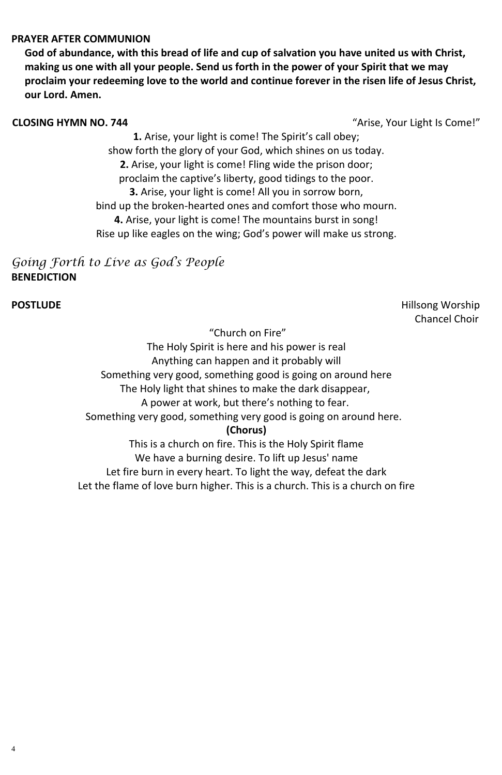4

### **PRAYER AFTER COMMUNION**

**God of abundance, with this bread of life and cup of salvation you have united us with Christ, making us one with all your people. Send us forth in the power of your Spirit that we may proclaim your redeeming love to the world and continue forever in the risen life of Jesus Christ, our Lord. Amen.** 

**CLOSING HYMN NO. 744 CLOSING HYMN NO. 744 The State of Table 10 and Arise, Your Light Is Come!"** 

**POSTLUDE** Hillsong Worship Chancel Choir

**1.** Arise, your light is come! The Spirit's call obey; show forth the glory of your God, which shines on us today. **2.** Arise, your light is come! Fling wide the prison door; proclaim the captive's liberty, good tidings to the poor. **3.** Arise, your light is come! All you in sorrow born, bind up the broken-hearted ones and comfort those who mourn. **4.** Arise, your light is come! The mountains burst in song! Rise up like eagles on the wing; God's power will make us strong.

## *Going Forth to Live as God's People* **BENEDICTION**

"Church on Fire" The Holy Spirit is here and his power is real Anything can happen and it probably will Something very good, something good is going on around here The Holy light that shines to make the dark disappear, A power at work, but there's nothing to fear. Something very good, something very good is going on around here. **(Chorus)** This is a church on fire. This is the Holy Spirit flame We have a burning desire. To lift up Jesus' name Let fire burn in every heart. To light the way, defeat the dark Let the flame of love burn higher. This is a church. This is a church on fire